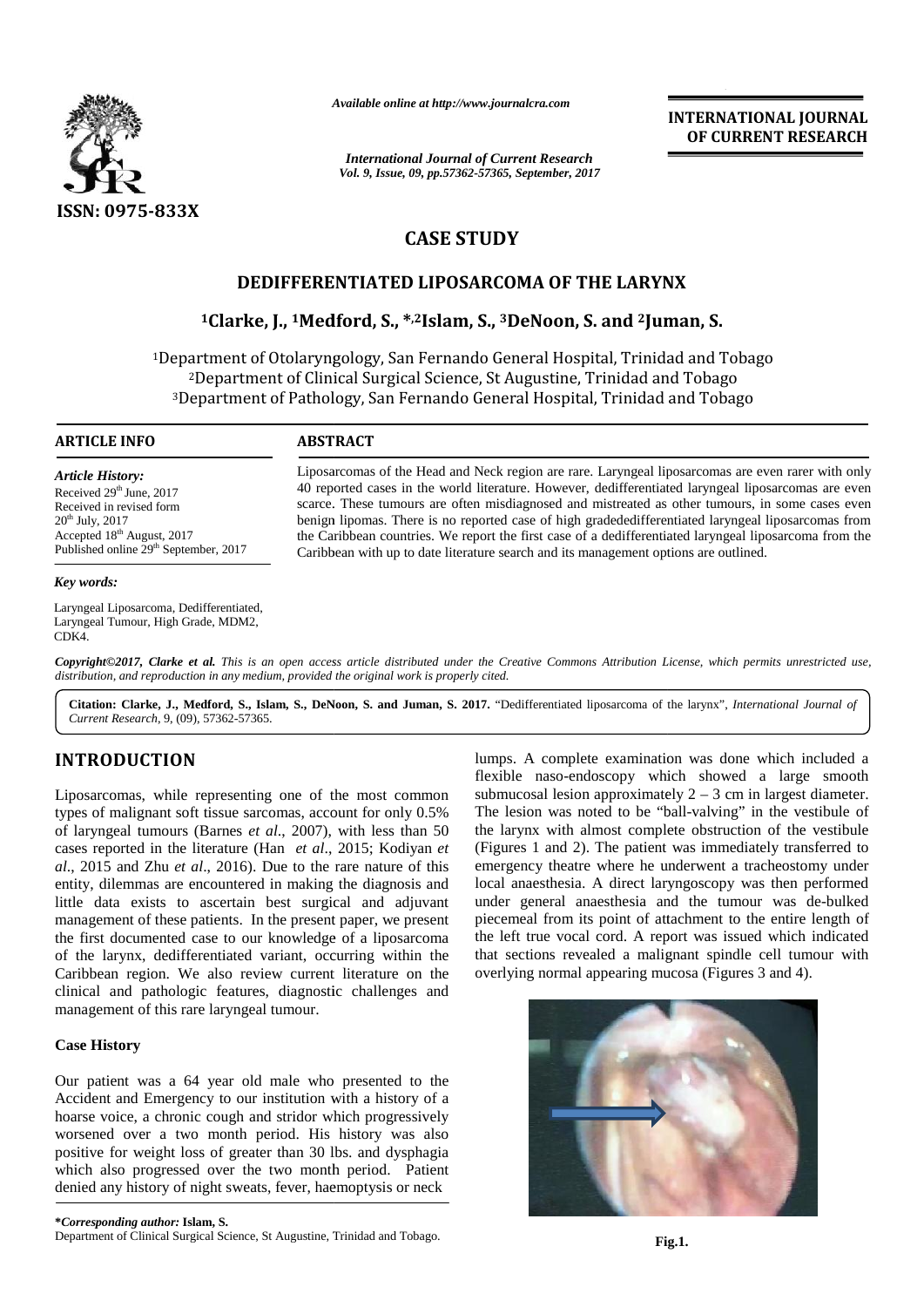

*Available online at http://www.journalcra.com*

*International Journal of Current Research Vol. 9, Issue, 09, pp.57362-57365, September, 2017* **INTERNATIONAL JOURNAL OF CURRENT RESEARCH**

# **CASE STUDY CASE STUDY**

# **DEDIFFERENTIATED LIPOSARCOMA OF THE LARYNX LIPOSARCOMA OF**

# **<sup>1</sup>Clarke, J., <sup>1</sup>Medford, S., \* ,2Islam, S., <sup>3</sup>DeNoon, S. and <sup>2</sup>Juman, S. 1S. and**

1Department of Otolaryngology, San Fernando General Hospital, Trinidad and Tobago <sup>2</sup>Department of Clinical Surgical Science, St Augustine, Trinidad and Tobago <sup>3</sup>Department of Pathology, San Fernando General Hospital, Trinidad and Tobago <sup>2</sup>Department Surgical Science, General

## **ARTICLE INFO**

*Article History:* Received 29<sup>th</sup> June, 2017 Received in revised form  $20<sup>th</sup>$  July,  $2017$ Accepted 18<sup>th</sup> August, 2017 Published online 29<sup>th</sup> September, 2017

#### *Key words:*

Laryngeal Liposarcoma, Dedifferentiated, Laryngeal Tumour, High Grade, MDM2, CDK4.

Liposarcomas of the Head and Neck region are rare. Laryngeal liposarcomas are even rarer with only 40 reported cases in the world literature. However, dedifferentiated laryngeal liposarcomas are even scarce. These tumours are often misdiagnosed and mistreated as other tumours, in some cases even scarce. These tumours are often misdiagnosed and mistreated as other tumours, in some cases even<br>benign lipomas. There is no reported case of high gradededifferentiated laryngeal liposarcomas from the Caribbean countries. We report the first case of a dedifferentiated laryngeal liposarcoma from the Caribbean with up to date literature search and its management options are outlined. Liposarcomas of the Head and Neck region are rare. Laryngeal liposarcomas are even rarer with only<br>40 reported cases in the world literature. However, dedifferentiated laryngeal liposarcomas are even<br>scarce. These tumours

**Copyright©2017, Clarke et al.** This is an open access article distributed under the Creative Commons Attribution License, which permits unrestricted use,<br>distribution, and reproduction in any medium, provided the original *distribution, and reproduction in any medium, provided the original work is properly cited. Currentian, Currental, This is an opertribution, and reproduction in any medium, p*<br> **Citation: Clarke, J., Medford, S., Islam,**<br> *Current Research, 9, (09), 57362-57365.* 

**Citation: Clarke, J., Medford, S., Islam, S., DeNoon, S. and Juman, S. 2017.** "Dedifferentiated liposarcoma of the larynx", *International Journal of* 

# **INTRODUCTION INTRODUCTION**

Liposarcomas, while representing one of the most common types of malignant soft tissue sarcomas, account for only 0.5% of laryngeal tumours (Barnes *et al*., 2007), with less than 50 cases reported in the literature (Han *et al.*, 2015; Kodiyan *et* (F *al*., 2015 and Zhu *et al*., 2016). Due to the rare nature of this entity, dilemmas are encountered in making the diagnosis and little data exists to ascertain best surgical and adjuvant al., 2015 and Zhu *et al.*, 2016). Due to the rare nature of this entity, dilemmas are encountered in making the diagnosis and little data exists to ascertain best surgical and adjuvant management of these patients. In the the first documented case to our knowledge of a liposarcoma of the larynx, dedifferentiated variant, occurring within the Caribbean region. We also review current literature on the clinical and pathologic features, diagnostic challenges and management of this rare laryngeal tumour. Liposarcomas, while representing one of the mostypes of malignant soft tissue sarcomas, account for of laryngeal tumours (Barnes *et al.*, 2007), with le the first documented case to our knowledge of a liposarce of the larynx, dedifferentiated variant, occurring within Caribbean region. We also review current literature on clinical and pathologic features, diagnostic challe **EXERCISE THE METALLICOAL CONSULTING CONTRACT COMPANY CONTRACT CONTRACT (SEE AND THE LARYXY TO AND THE LARYXY CASE STUDY<br>
SSN: U975-833X<br>
CASE STUDY<br>
DEDIFFERENTIATED LIPOGARCOMA OF THE LARYXY<br>
CARE CHARGE IN THE CONSULTA** lumps.<br>
flexible<br>
common submuc<br>
ly 0.5% The les<br>
than 50 the lary<br>
diyan *et* (Figure<br>
e of this emerge<br>
osis and local at<br>
dijuvant under<br>
present piecem<br>
sarcoma the left<br>
thin the that see<br>
on the overlyi<br>
ges and<br>
l t

## **Case History CaseHistory**

Our patient was a 64 year old male who presented to the Accident and Emergency to our institution with a history of a hoarse voice, a chronic cough and stridor which progressively worsened over a two month period. His history was also positive for weight loss of greater than 30 lbs. and dysphagia which also progressed over the two month period. Patient denied any history of night sweats, fever, haemoptysis or neck Our patient was a 64 year old male who presented to the Accident and Emergency to our institution with a history of a hoarse voice, a chronic cough and stridor which progressively worsened over a two month period. His hist

lumps. A complete examination was done which included a flexible naso-endoscopy which showed a large smooth submucosal lesion approximately  $2 - 3$  cm in largest diameter. The lesion was noted to be "ball-valving" in the vestibule of the larynx with almost complete obstruction of the vestibule (Figures 1 and 2). The patient was immediately transferred to emergency theatre where he underwent a tracheostomy under local anaesthesia. A direct laryngoscopy was then performed under general anaesthesia and the tumour was de-bulked piecemeal from its point of attachment to the entire length of the left true vocal cord. A report was issued which indicated that sections revealed a malignant spindle cell tumour with overlying normal appearing mucosa (Figures 3 and 4).

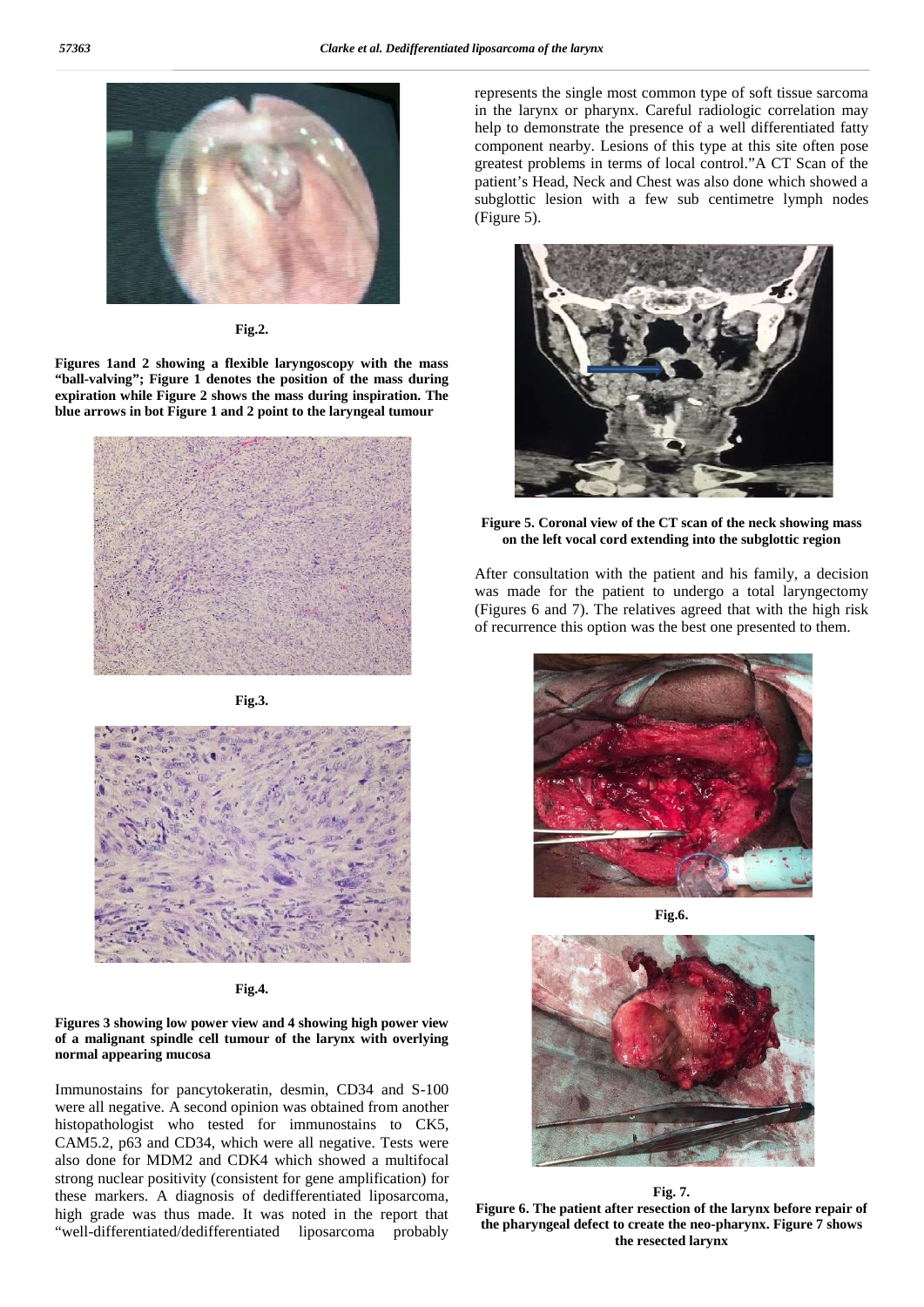

**Fig.2.**

**Figures 1and 2 showing a flexible laryngoscopy with the mass "ball-valving"; Figure 1 denotes the position of the mass during expiration while Figure 2 shows the mass during inspiration. The blue arrows in bot Figure 1 and 2 point to the laryngeal tumour**



**Fig.3.**



**Fig.4.**

### **Figures 3 showing low power view and 4 showing high power view of a malignant spindle cell tumour of the larynx with overlying normal appearing mucosa**

Immunostains for pancytokeratin, desmin, CD34 and S-100 were all negative. A second opinion was obtained from another histopathologist who tested for immunostains to CK5, CAM5.2, p63 and CD34, which were all negative. Tests were also done for MDM2 and CDK4 which showed a multifocal strong nuclear positivity (consistent for gene amplification) for these markers. A diagnosis of dedifferentiated liposarcoma, high grade was thus made. It was noted in the report that "well-differentiated/dedifferentiated liposarcoma probably

represents the single most common type of soft tissue sarcoma in the larynx or pharynx. Careful radiologic correlation may help to demonstrate the presence of a well differentiated fatty component nearby. Lesions of this type at this site often pose greatest problems in terms of local control."A CT Scan of the patient's Head, Neck and Chest was also done which showed a subglottic lesion with a few sub centimetre lymph nodes (Figure 5).



**Figure 5. Coronal view of the CT scan of the neck showing mass on the left vocal cord extending into the subglottic region**

After consultation with the patient and his family, a decision was made for the patient to undergo a total laryngectomy (Figures 6 and 7). The relatives agreed that with the high risk of recurrence this option was the best one presented to them.



**Fig.6.**



#### **Fig. 7.**

**Figure 6. The patient after resection of the larynx before repair of the pharyngeal defect to create the neo-pharynx. Figure 7 shows the resected larynx**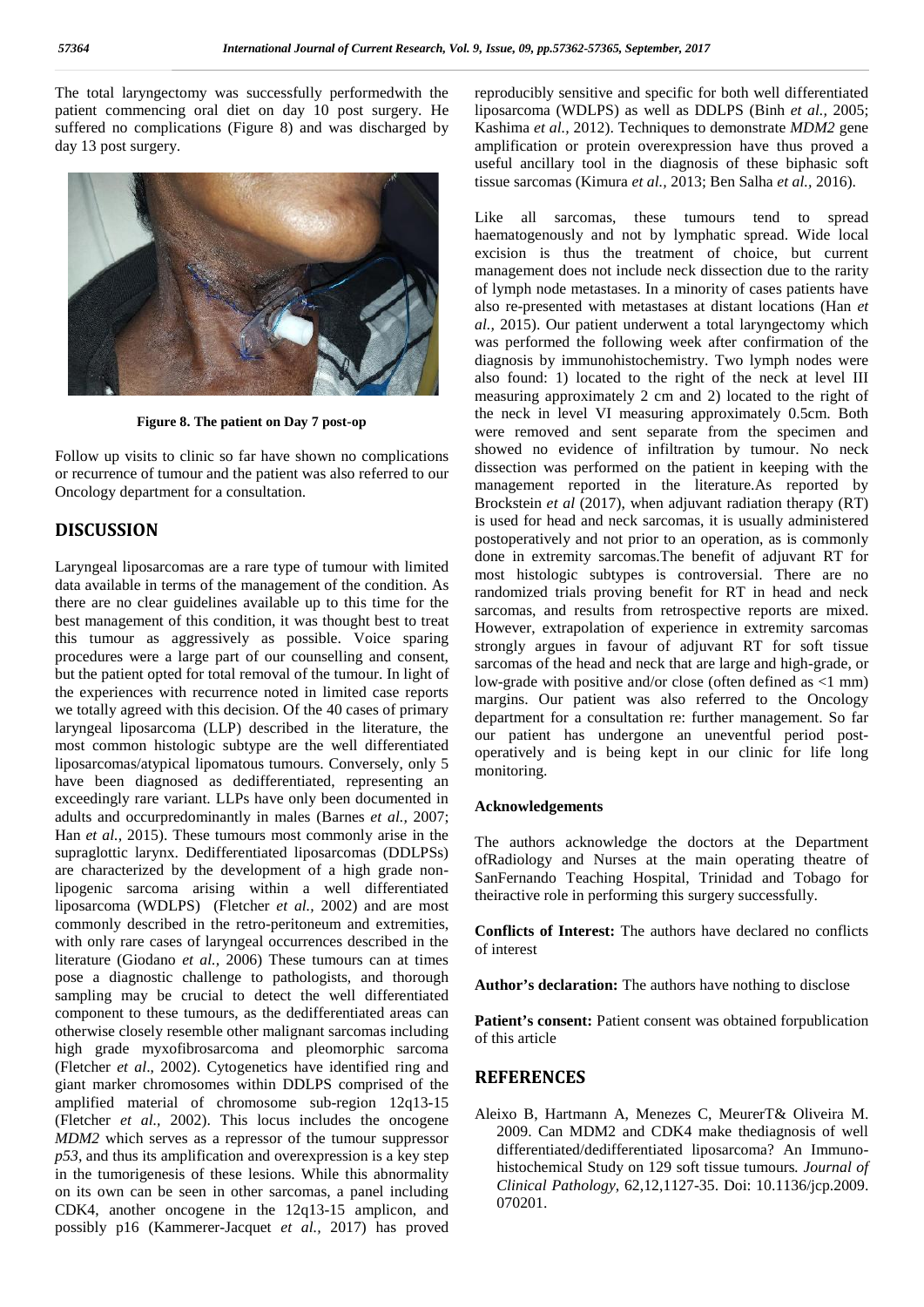The total laryngectomy was successfully performedwith the patient commencing oral diet on day 10 post surgery. He suffered no complications (Figure 8) and was discharged by day 13 post surgery.



**Figure 8. The patient on Day 7 post-op**

Follow up visits to clinic so far have shown no complications or recurrence of tumour and the patient was also referred to our Oncology department for a consultation.

## **DISCUSSION**

Laryngeal liposarcomas are a rare type of tumour with limited data available in terms of the management of the condition. As there are no clear guidelines available up to this time for the best management of this condition, it was thought best to treat this tumour as aggressively as possible. Voice sparing procedures were a large part of our counselling and consent, but the patient opted for total removal of the tumour. In light of the experiences with recurrence noted in limited case reports we totally agreed with this decision. Of the 40 cases of primary laryngeal liposarcoma (LLP) described in the literature, the most common histologic subtype are the well differentiated liposarcomas/atypical lipomatous tumours. Conversely, only 5 have been diagnosed as dedifferentiated, representing an exceedingly rare variant. LLPs have only been documented in adults and occurpredominantly in males (Barnes *et al.,* 2007; Han *et al.,* 2015). These tumours most commonly arise in the supraglottic larynx. Dedifferentiated liposarcomas (DDLPSs) are characterized by the development of a high grade nonlipogenic sarcoma arising within a well differentiated liposarcoma (WDLPS) (Fletcher *et al.,* 2002) and are most commonly described in the retro-peritoneum and extremities, with only rare cases of laryngeal occurrences described in the literature (Giodano *et al.,* 2006) These tumours can at times pose a diagnostic challenge to pathologists, and thorough sampling may be crucial to detect the well differentiated component to these tumours, as the dedifferentiated areas can otherwise closely resemble other malignant sarcomas including high grade myxofibrosarcoma and pleomorphic sarcoma (Fletcher *et al*., 2002). Cytogenetics have identified ring and giant marker chromosomes within DDLPS comprised of the amplified material of chromosome sub-region 12q13-15 (Fletcher *et al.,* 2002). This locus includes the oncogene *MDM2* which serves as a repressor of the tumour suppressor *p53*, and thus its amplification and overexpression is a key step in the tumorigenesis of these lesions. While this abnormality on its own can be seen in other sarcomas, a panel including CDK4, another oncogene in the 12q13-15 amplicon, and possibly p16 (Kammerer-Jacquet *et al.,* 2017) has proved reproducibly sensitive and specific for both well differentiated liposarcoma (WDLPS) as well as DDLPS (Binh *et al.,* 2005; Kashima *et al.,* 2012). Techniques to demonstrate *MDM2* gene amplification or protein overexpression have thus proved a useful ancillary tool in the diagnosis of these biphasic soft tissue sarcomas (Kimura *et al.,* 2013; Ben Salha *et al.,* 2016).

Like all sarcomas, these tumours tend to spread haematogenously and not by lymphatic spread. Wide local excision is thus the treatment of choice, but current management does not include neck dissection due to the rarity of lymph node metastases. In a minority of cases patients have also re-presented with metastases at distant locations (Han *et al.,* 2015). Our patient underwent a total laryngectomy which was performed the following week after confirmation of the diagnosis by immunohistochemistry. Two lymph nodes were also found: 1) located to the right of the neck at level III measuring approximately 2 cm and 2) located to the right of the neck in level VI measuring approximately 0.5cm. Both were removed and sent separate from the specimen and showed no evidence of infiltration by tumour. No neck dissection was performed on the patient in keeping with the management reported in the literature.As reported by Brockstein *et al* (2017), when adjuvant radiation therapy (RT) is used for head and neck sarcomas, it is usually administered postoperatively and not prior to an operation, as is commonly done in extremity sarcomas.The benefit of adjuvant RT for most histologic subtypes is controversial. There are no randomized trials proving benefit for RT in head and neck sarcomas, and results from retrospective reports are mixed. However, extrapolation of experience in extremity sarcomas strongly argues in favour of adjuvant RT for soft tissue sarcomas of the head and neck that are large and high-grade, or low-grade with positive and/or close (often defined as <1 mm) margins. Our patient was also referred to the Oncology department for a consultation re: further management. So far our patient has undergone an uneventful period post operatively and is being kept in our clinic for life long monitoring.

### **Acknowledgements**

The authors acknowledge the doctors at the Department ofRadiology and Nurses at the main operating theatre of SanFernando Teaching Hospital, Trinidad and Tobago for theiractive role in performing this surgery successfully.

**Conflicts of Interest:** The authors have declared no conflicts of interest

**Author's declaration:** The authors have nothing to disclose

Patient's consent: Patient consent was obtained forpublication of this article

## **REFERENCES**

Aleixo B, Hartmann A, Menezes C, MeurerT& Oliveira M. 2009. Can MDM2 and CDK4 make thediagnosis of well differentiated/dedifferentiated liposarcoma? An Immuno histochemical Study on 129 soft tissue tumours*. Journal of Clinical Pathology*, 62,12,1127-35. Doi: 10.1136/jcp.2009. 070201.